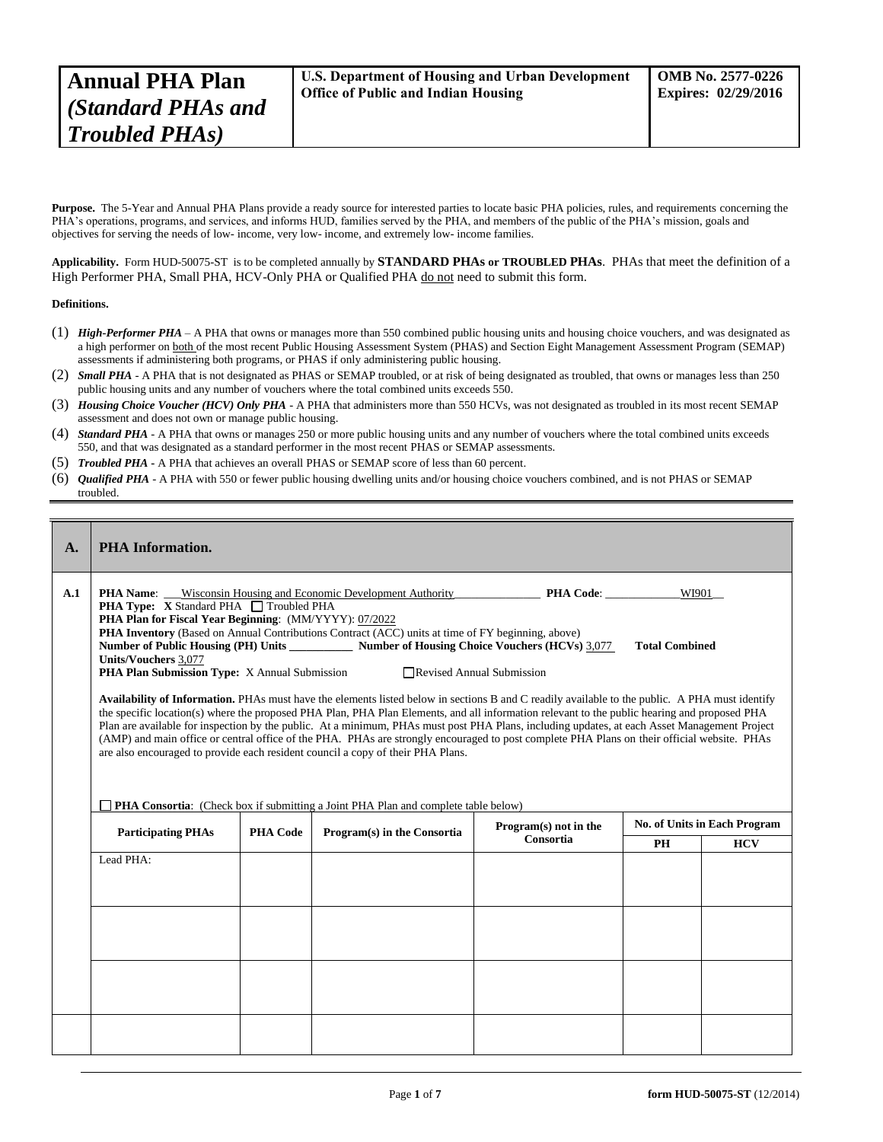Purpose. The 5-Year and Annual PHA Plans provide a ready source for interested parties to locate basic PHA policies, rules, and requirements concerning the PHA's operations, programs, and services, and informs HUD, families served by the PHA, and members of the public of the PHA's mission, goals and objectives for serving the needs of low- income, very low- income, and extremely low- income families.

**Applicability.** Form HUD-50075-ST is to be completed annually by **STANDARD PHAs or TROUBLED PHAs**. PHAs that meet the definition of a High Performer PHA, Small PHA, HCV-Only PHA or Qualified PHA do not need to submit this form.

## **Definitions.**

Ĭ.

- (1) *High-Performer PHA* A PHA that owns or manages more than 550 combined public housing units and housing choice vouchers, and was designated as a high performer on both of the most recent Public Housing Assessment System (PHAS) and Section Eight Management Assessment Program (SEMAP) assessments if administering both programs, or PHAS if only administering public housing.
- (2) *Small PHA* A PHA that is not designated as PHAS or SEMAP troubled, or at risk of being designated as troubled, that owns or manages less than 250 public housing units and any number of vouchers where the total combined units exceeds 550.
- (3) *Housing Choice Voucher (HCV) Only PHA* A PHA that administers more than 550 HCVs, was not designated as troubled in its most recent SEMAP assessment and does not own or manage public housing.
- (4) *Standard PHA* A PHA that owns or manages 250 or more public housing units and any number of vouchers where the total combined units exceeds 550, and that was designated as a standard performer in the most recent PHAS or SEMAP assessments.
- (5) *Troubled PHA* **-** A PHA that achieves an overall PHAS or SEMAP score of less than 60 percent.
- (6) *Qualified PHA* A PHA with 550 or fewer public housing dwelling units and/or housing choice vouchers combined, and is not PHAS or SEMAP troubled.

| $\mathbf{A}$ . | <b>PHA</b> Information.                                                                                                                                                                                                                                                                                                                                                                                                                                                                                                                                                                                                                                                                                                                                                                                                                                                                                                                                                                                                                                                                                                                                                                                                                     |                 |                             |                                    |    |            |  |
|----------------|---------------------------------------------------------------------------------------------------------------------------------------------------------------------------------------------------------------------------------------------------------------------------------------------------------------------------------------------------------------------------------------------------------------------------------------------------------------------------------------------------------------------------------------------------------------------------------------------------------------------------------------------------------------------------------------------------------------------------------------------------------------------------------------------------------------------------------------------------------------------------------------------------------------------------------------------------------------------------------------------------------------------------------------------------------------------------------------------------------------------------------------------------------------------------------------------------------------------------------------------|-----------------|-----------------------------|------------------------------------|----|------------|--|
| A.1            | Wisconsin Housing and Economic Development Authority <b>PHA Code</b> :<br>WI901<br><b>PHA Name:</b><br>PHA Type: X Standard PHA □ Troubled PHA<br>PHA Plan for Fiscal Year Beginning: (MM/YYYY): 07/2022<br>PHA Inventory (Based on Annual Contributions Contract (ACC) units at time of FY beginning, above)<br>Number of Public Housing (PH) Units _____________ Number of Housing Choice Vouchers (HCVs) 3,077<br><b>Total Combined</b><br><b>Units/Vouchers 3,077</b><br>PHA Plan Submission Type: X Annual Submission<br>Revised Annual Submission<br>Availability of Information. PHAs must have the elements listed below in sections B and C readily available to the public. A PHA must identify<br>the specific location(s) where the proposed PHA Plan, PHA Plan Elements, and all information relevant to the public hearing and proposed PHA<br>Plan are available for inspection by the public. At a minimum, PHAs must post PHA Plans, including updates, at each Asset Management Project<br>(AMP) and main office or central office of the PHA. PHAs are strongly encouraged to post complete PHA Plans on their official website. PHAs<br>are also encouraged to provide each resident council a copy of their PHA Plans. |                 |                             |                                    |    |            |  |
|                | <b>PHA Consortia:</b> (Check box if submitting a Joint PHA Plan and complete table below)<br><b>No. of Units in Each Program</b>                                                                                                                                                                                                                                                                                                                                                                                                                                                                                                                                                                                                                                                                                                                                                                                                                                                                                                                                                                                                                                                                                                            |                 |                             |                                    |    |            |  |
|                | <b>Participating PHAs</b>                                                                                                                                                                                                                                                                                                                                                                                                                                                                                                                                                                                                                                                                                                                                                                                                                                                                                                                                                                                                                                                                                                                                                                                                                   | <b>PHA Code</b> | Program(s) in the Consortia | Program(s) not in the<br>Consortia | PH | <b>HCV</b> |  |
|                | Lead PHA:                                                                                                                                                                                                                                                                                                                                                                                                                                                                                                                                                                                                                                                                                                                                                                                                                                                                                                                                                                                                                                                                                                                                                                                                                                   |                 |                             |                                    |    |            |  |
|                |                                                                                                                                                                                                                                                                                                                                                                                                                                                                                                                                                                                                                                                                                                                                                                                                                                                                                                                                                                                                                                                                                                                                                                                                                                             |                 |                             |                                    |    |            |  |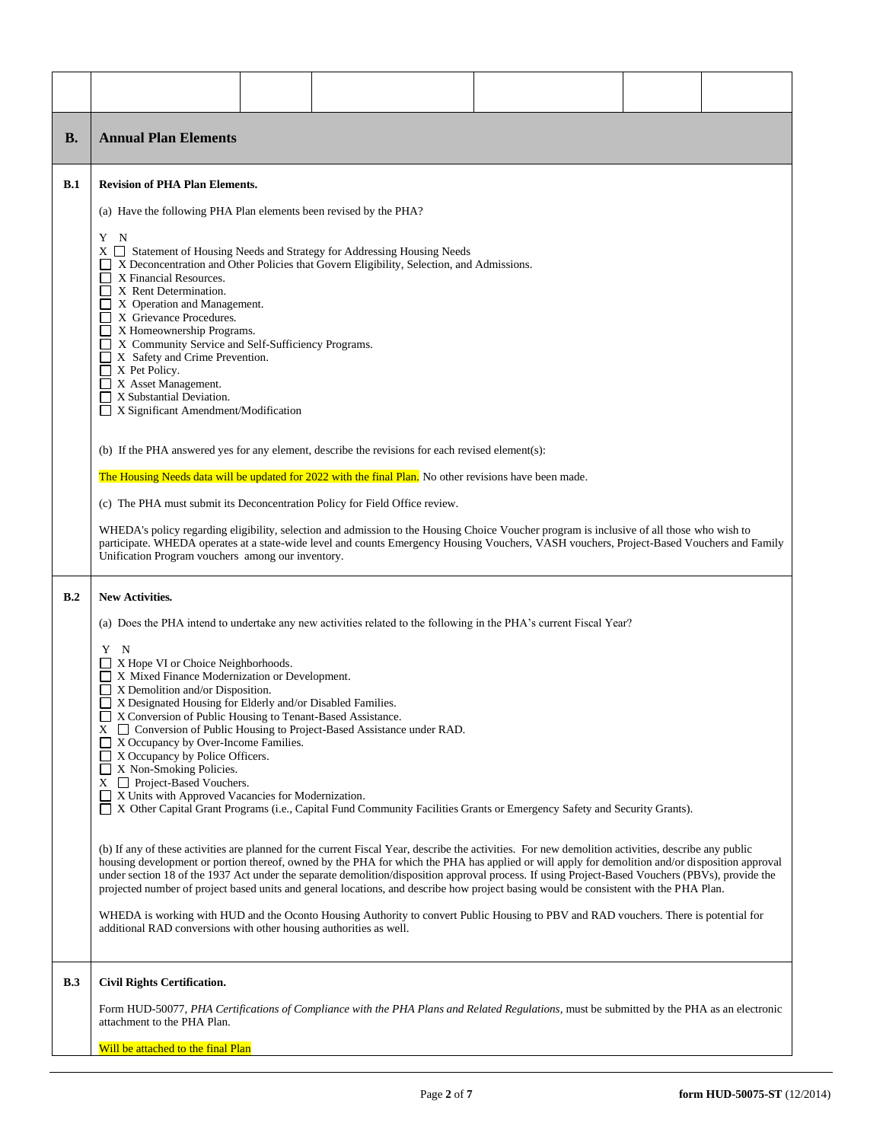| <b>B.</b>  | <b>Annual Plan Elements</b>                                                                                                                                                                                                                                                                                                                                                                                                                                                                                                                                                                                                                                                                                                                                                                                                                                                                                                                                                                                                                                                                                                                                                                                                   |  |                                                                                                                                                                                                                                                                                                                                                                                                                                                                                                                       |  |  |  |  |
|------------|-------------------------------------------------------------------------------------------------------------------------------------------------------------------------------------------------------------------------------------------------------------------------------------------------------------------------------------------------------------------------------------------------------------------------------------------------------------------------------------------------------------------------------------------------------------------------------------------------------------------------------------------------------------------------------------------------------------------------------------------------------------------------------------------------------------------------------------------------------------------------------------------------------------------------------------------------------------------------------------------------------------------------------------------------------------------------------------------------------------------------------------------------------------------------------------------------------------------------------|--|-----------------------------------------------------------------------------------------------------------------------------------------------------------------------------------------------------------------------------------------------------------------------------------------------------------------------------------------------------------------------------------------------------------------------------------------------------------------------------------------------------------------------|--|--|--|--|
| <b>B.1</b> | <b>Revision of PHA Plan Elements.</b>                                                                                                                                                                                                                                                                                                                                                                                                                                                                                                                                                                                                                                                                                                                                                                                                                                                                                                                                                                                                                                                                                                                                                                                         |  |                                                                                                                                                                                                                                                                                                                                                                                                                                                                                                                       |  |  |  |  |
|            | (a) Have the following PHA Plan elements been revised by the PHA?<br>Y N<br>$X \square$ Statement of Housing Needs and Strategy for Addressing Housing Needs<br>X Deconcentration and Other Policies that Govern Eligibility, Selection, and Admissions.<br>X Financial Resources.<br>X Rent Determination.<br>X Operation and Management.<br>X Grievance Procedures.<br>$\Box$ X Homeownership Programs.<br>X Community Service and Self-Sufficiency Programs.<br>X Safety and Crime Prevention.<br>$\Box$ X Pet Policy.<br>$\Box$ X Asset Management.<br>X Substantial Deviation.<br>$\Box$<br>X Significant Amendment/Modification<br>(b) If the PHA answered yes for any element, describe the revisions for each revised element(s):<br>The Housing Needs data will be updated for 2022 with the final Plan. No other revisions have been made.<br>(c) The PHA must submit its Deconcentration Policy for Field Office review.<br>WHEDA's policy regarding eligibility, selection and admission to the Housing Choice Voucher program is inclusive of all those who wish to<br>participate. WHEDA operates at a state-wide level and counts Emergency Housing Vouchers, VASH vouchers, Project-Based Vouchers and Family |  |                                                                                                                                                                                                                                                                                                                                                                                                                                                                                                                       |  |  |  |  |
| B.2        | Unification Program vouchers among our inventory.<br><b>New Activities.</b>                                                                                                                                                                                                                                                                                                                                                                                                                                                                                                                                                                                                                                                                                                                                                                                                                                                                                                                                                                                                                                                                                                                                                   |  |                                                                                                                                                                                                                                                                                                                                                                                                                                                                                                                       |  |  |  |  |
|            | (a) Does the PHA intend to undertake any new activities related to the following in the PHA's current Fiscal Year?                                                                                                                                                                                                                                                                                                                                                                                                                                                                                                                                                                                                                                                                                                                                                                                                                                                                                                                                                                                                                                                                                                            |  |                                                                                                                                                                                                                                                                                                                                                                                                                                                                                                                       |  |  |  |  |
|            | Y<br>N<br>X Hope VI or Choice Neighborhoods.<br>X Mixed Finance Modernization or Development.<br>X Demolition and/or Disposition.<br>X Designated Housing for Elderly and/or Disabled Families.<br>X Conversion of Public Housing to Tenant-Based Assistance.<br>$\Box$ X Occupancy by Over-Income Families.<br>$\Box$ X Occupancy by Police Officers.<br>$\Box$ X Non-Smoking Policies.<br>$X \square$ Project-Based Vouchers.<br>X Units with Approved Vacancies for Modernization.                                                                                                                                                                                                                                                                                                                                                                                                                                                                                                                                                                                                                                                                                                                                         |  | $X \square$ Conversion of Public Housing to Project-Based Assistance under RAD.<br>X Other Capital Grant Programs (i.e., Capital Fund Community Facilities Grants or Emergency Safety and Security Grants).<br>(b) If any of these activities are planned for the current Fiscal Year, describe the activities. For new demolition activities, describe any public<br>housing development or portion thereof, owned by the PHA for which the PHA has applied or will apply for demolition and/or disposition approval |  |  |  |  |
|            |                                                                                                                                                                                                                                                                                                                                                                                                                                                                                                                                                                                                                                                                                                                                                                                                                                                                                                                                                                                                                                                                                                                                                                                                                               |  | under section 18 of the 1937 Act under the separate demolition/disposition approval process. If using Project-Based Vouchers (PBVs), provide the<br>projected number of project based units and general locations, and describe how project basing would be consistent with the PHA Plan.<br>WHEDA is working with HUD and the Oconto Housing Authority to convert Public Housing to PBV and RAD vouchers. There is potential for                                                                                     |  |  |  |  |
|            | additional RAD conversions with other housing authorities as well.                                                                                                                                                                                                                                                                                                                                                                                                                                                                                                                                                                                                                                                                                                                                                                                                                                                                                                                                                                                                                                                                                                                                                            |  |                                                                                                                                                                                                                                                                                                                                                                                                                                                                                                                       |  |  |  |  |
| <b>B.3</b> | <b>Civil Rights Certification.</b>                                                                                                                                                                                                                                                                                                                                                                                                                                                                                                                                                                                                                                                                                                                                                                                                                                                                                                                                                                                                                                                                                                                                                                                            |  |                                                                                                                                                                                                                                                                                                                                                                                                                                                                                                                       |  |  |  |  |
|            | attachment to the PHA Plan.                                                                                                                                                                                                                                                                                                                                                                                                                                                                                                                                                                                                                                                                                                                                                                                                                                                                                                                                                                                                                                                                                                                                                                                                   |  | Form HUD-50077, PHA Certifications of Compliance with the PHA Plans and Related Regulations, must be submitted by the PHA as an electronic                                                                                                                                                                                                                                                                                                                                                                            |  |  |  |  |
|            | Will be attached to the final Plan                                                                                                                                                                                                                                                                                                                                                                                                                                                                                                                                                                                                                                                                                                                                                                                                                                                                                                                                                                                                                                                                                                                                                                                            |  |                                                                                                                                                                                                                                                                                                                                                                                                                                                                                                                       |  |  |  |  |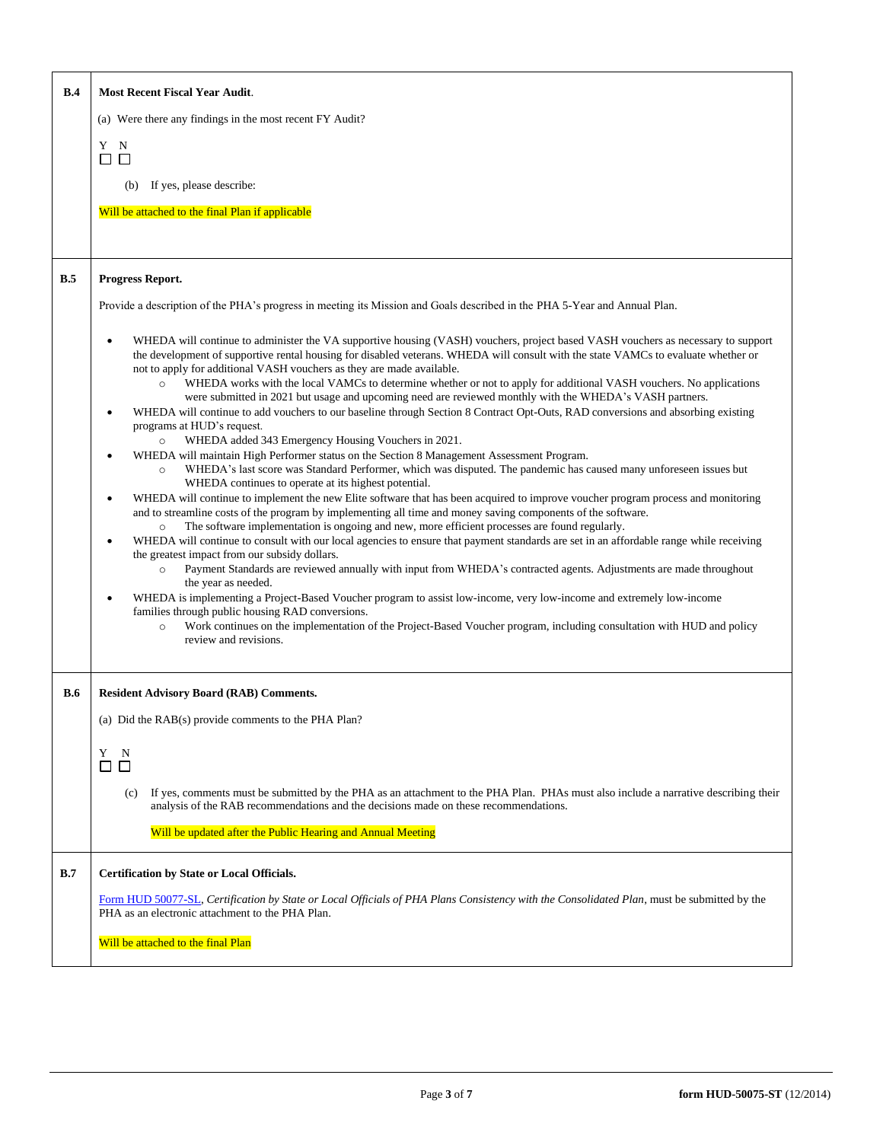| B.4        | <b>Most Recent Fiscal Year Audit.</b>                                                                                                                                                                                                                                                                                                                                                                                                                                                                                                                                                                                                                                                                                                                                                                                                                                                                                                                                                                                                                                                                                                                                                                                                                                                                                                                                                                                                                                                                                                                                                                                                                                                                                                                                                                                                                                                                                                                                                                                                                                                                                                                                            |  |  |  |  |  |  |
|------------|----------------------------------------------------------------------------------------------------------------------------------------------------------------------------------------------------------------------------------------------------------------------------------------------------------------------------------------------------------------------------------------------------------------------------------------------------------------------------------------------------------------------------------------------------------------------------------------------------------------------------------------------------------------------------------------------------------------------------------------------------------------------------------------------------------------------------------------------------------------------------------------------------------------------------------------------------------------------------------------------------------------------------------------------------------------------------------------------------------------------------------------------------------------------------------------------------------------------------------------------------------------------------------------------------------------------------------------------------------------------------------------------------------------------------------------------------------------------------------------------------------------------------------------------------------------------------------------------------------------------------------------------------------------------------------------------------------------------------------------------------------------------------------------------------------------------------------------------------------------------------------------------------------------------------------------------------------------------------------------------------------------------------------------------------------------------------------------------------------------------------------------------------------------------------------|--|--|--|--|--|--|
|            | (a) Were there any findings in the most recent FY Audit?                                                                                                                                                                                                                                                                                                                                                                                                                                                                                                                                                                                                                                                                                                                                                                                                                                                                                                                                                                                                                                                                                                                                                                                                                                                                                                                                                                                                                                                                                                                                                                                                                                                                                                                                                                                                                                                                                                                                                                                                                                                                                                                         |  |  |  |  |  |  |
|            | Y N<br>$\Box$                                                                                                                                                                                                                                                                                                                                                                                                                                                                                                                                                                                                                                                                                                                                                                                                                                                                                                                                                                                                                                                                                                                                                                                                                                                                                                                                                                                                                                                                                                                                                                                                                                                                                                                                                                                                                                                                                                                                                                                                                                                                                                                                                                    |  |  |  |  |  |  |
|            | If yes, please describe:<br>(b)                                                                                                                                                                                                                                                                                                                                                                                                                                                                                                                                                                                                                                                                                                                                                                                                                                                                                                                                                                                                                                                                                                                                                                                                                                                                                                                                                                                                                                                                                                                                                                                                                                                                                                                                                                                                                                                                                                                                                                                                                                                                                                                                                  |  |  |  |  |  |  |
|            | Will be attached to the final Plan if applicable                                                                                                                                                                                                                                                                                                                                                                                                                                                                                                                                                                                                                                                                                                                                                                                                                                                                                                                                                                                                                                                                                                                                                                                                                                                                                                                                                                                                                                                                                                                                                                                                                                                                                                                                                                                                                                                                                                                                                                                                                                                                                                                                 |  |  |  |  |  |  |
|            |                                                                                                                                                                                                                                                                                                                                                                                                                                                                                                                                                                                                                                                                                                                                                                                                                                                                                                                                                                                                                                                                                                                                                                                                                                                                                                                                                                                                                                                                                                                                                                                                                                                                                                                                                                                                                                                                                                                                                                                                                                                                                                                                                                                  |  |  |  |  |  |  |
| B.5        | Progress Report.                                                                                                                                                                                                                                                                                                                                                                                                                                                                                                                                                                                                                                                                                                                                                                                                                                                                                                                                                                                                                                                                                                                                                                                                                                                                                                                                                                                                                                                                                                                                                                                                                                                                                                                                                                                                                                                                                                                                                                                                                                                                                                                                                                 |  |  |  |  |  |  |
|            | Provide a description of the PHA's progress in meeting its Mission and Goals described in the PHA 5-Year and Annual Plan.                                                                                                                                                                                                                                                                                                                                                                                                                                                                                                                                                                                                                                                                                                                                                                                                                                                                                                                                                                                                                                                                                                                                                                                                                                                                                                                                                                                                                                                                                                                                                                                                                                                                                                                                                                                                                                                                                                                                                                                                                                                        |  |  |  |  |  |  |
|            | WHEDA will continue to administer the VA supportive housing (VASH) vouchers, project based VASH vouchers as necessary to support<br>the development of supportive rental housing for disabled veterans. WHEDA will consult with the state VAMCs to evaluate whether or<br>not to apply for additional VASH vouchers as they are made available.<br>WHEDA works with the local VAMCs to determine whether or not to apply for additional VASH vouchers. No applications<br>$\circ$<br>were submitted in 2021 but usage and upcoming need are reviewed monthly with the WHEDA's VASH partners.<br>WHEDA will continue to add vouchers to our baseline through Section 8 Contract Opt-Outs, RAD conversions and absorbing existing<br>programs at HUD's request.<br>WHEDA added 343 Emergency Housing Vouchers in 2021.<br>$\circ$<br>WHEDA will maintain High Performer status on the Section 8 Management Assessment Program.<br>WHEDA's last score was Standard Performer, which was disputed. The pandemic has caused many unforeseen issues but<br>$\circ$<br>WHEDA continues to operate at its highest potential.<br>WHEDA will continue to implement the new Elite software that has been acquired to improve voucher program process and monitoring<br>and to streamline costs of the program by implementing all time and money saving components of the software.<br>The software implementation is ongoing and new, more efficient processes are found regularly.<br>$\circ$<br>WHEDA will continue to consult with our local agencies to ensure that payment standards are set in an affordable range while receiving<br>the greatest impact from our subsidy dollars.<br>Payment Standards are reviewed annually with input from WHEDA's contracted agents. Adjustments are made throughout<br>$\circ$<br>the year as needed.<br>WHEDA is implementing a Project-Based Voucher program to assist low-income, very low-income and extremely low-income<br>families through public housing RAD conversions.<br>Work continues on the implementation of the Project-Based Voucher program, including consultation with HUD and policy<br>$\circ$<br>review and revisions. |  |  |  |  |  |  |
| <b>B.6</b> | <b>Resident Advisory Board (RAB) Comments.</b>                                                                                                                                                                                                                                                                                                                                                                                                                                                                                                                                                                                                                                                                                                                                                                                                                                                                                                                                                                                                                                                                                                                                                                                                                                                                                                                                                                                                                                                                                                                                                                                                                                                                                                                                                                                                                                                                                                                                                                                                                                                                                                                                   |  |  |  |  |  |  |
|            | (a) Did the RAB(s) provide comments to the PHA Plan?                                                                                                                                                                                                                                                                                                                                                                                                                                                                                                                                                                                                                                                                                                                                                                                                                                                                                                                                                                                                                                                                                                                                                                                                                                                                                                                                                                                                                                                                                                                                                                                                                                                                                                                                                                                                                                                                                                                                                                                                                                                                                                                             |  |  |  |  |  |  |
|            | Y<br>N<br>□<br>□                                                                                                                                                                                                                                                                                                                                                                                                                                                                                                                                                                                                                                                                                                                                                                                                                                                                                                                                                                                                                                                                                                                                                                                                                                                                                                                                                                                                                                                                                                                                                                                                                                                                                                                                                                                                                                                                                                                                                                                                                                                                                                                                                                 |  |  |  |  |  |  |
|            | If yes, comments must be submitted by the PHA as an attachment to the PHA Plan. PHAs must also include a narrative describing their<br>(c)<br>analysis of the RAB recommendations and the decisions made on these recommendations.                                                                                                                                                                                                                                                                                                                                                                                                                                                                                                                                                                                                                                                                                                                                                                                                                                                                                                                                                                                                                                                                                                                                                                                                                                                                                                                                                                                                                                                                                                                                                                                                                                                                                                                                                                                                                                                                                                                                               |  |  |  |  |  |  |
|            | Will be updated after the Public Hearing and Annual Meeting                                                                                                                                                                                                                                                                                                                                                                                                                                                                                                                                                                                                                                                                                                                                                                                                                                                                                                                                                                                                                                                                                                                                                                                                                                                                                                                                                                                                                                                                                                                                                                                                                                                                                                                                                                                                                                                                                                                                                                                                                                                                                                                      |  |  |  |  |  |  |
| B.7        | <b>Certification by State or Local Officials.</b>                                                                                                                                                                                                                                                                                                                                                                                                                                                                                                                                                                                                                                                                                                                                                                                                                                                                                                                                                                                                                                                                                                                                                                                                                                                                                                                                                                                                                                                                                                                                                                                                                                                                                                                                                                                                                                                                                                                                                                                                                                                                                                                                |  |  |  |  |  |  |
|            | Form HUD 50077-SL, Certification by State or Local Officials of PHA Plans Consistency with the Consolidated Plan, must be submitted by the<br>PHA as an electronic attachment to the PHA Plan.                                                                                                                                                                                                                                                                                                                                                                                                                                                                                                                                                                                                                                                                                                                                                                                                                                                                                                                                                                                                                                                                                                                                                                                                                                                                                                                                                                                                                                                                                                                                                                                                                                                                                                                                                                                                                                                                                                                                                                                   |  |  |  |  |  |  |
|            | Will be attached to the final Plan                                                                                                                                                                                                                                                                                                                                                                                                                                                                                                                                                                                                                                                                                                                                                                                                                                                                                                                                                                                                                                                                                                                                                                                                                                                                                                                                                                                                                                                                                                                                                                                                                                                                                                                                                                                                                                                                                                                                                                                                                                                                                                                                               |  |  |  |  |  |  |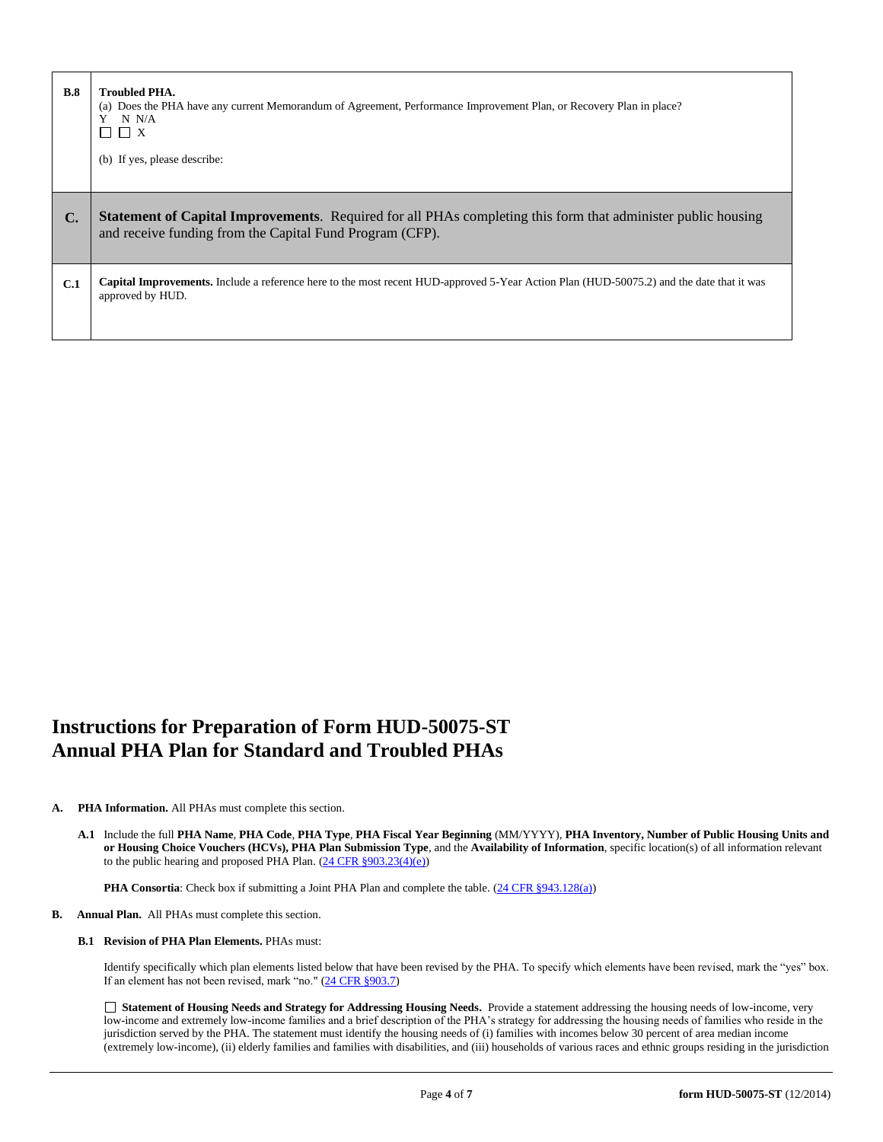| B.8            | <b>Troubled PHA.</b><br>(a) Does the PHA have any current Memorandum of Agreement, Performance Improvement Plan, or Recovery Plan in place?<br>N N/A<br>$\Box$ $\Box$ x<br>(b) If yes, please describe: |
|----------------|---------------------------------------------------------------------------------------------------------------------------------------------------------------------------------------------------------|
| $\mathbf{C}$ . | <b>Statement of Capital Improvements.</b> Required for all PHAs completing this form that administer public housing<br>and receive funding from the Capital Fund Program (CFP).                         |
| C.1            | <b>Capital Improvements.</b> Include a reference here to the most recent HUD-approved 5-Year Action Plan (HUD-50075.2) and the date that it was<br>approved by HUD.                                     |

# **Instructions for Preparation of Form HUD-50075-ST Annual PHA Plan for Standard and Troubled PHAs**

# **A. PHA Information.** All PHAs must complete this section.

**A.1** Include the full **PHA Name**, **PHA Code**, **PHA Type**, **PHA Fiscal Year Beginning** (MM/YYYY), **PHA Inventory, Number of Public Housing Units and or Housing Choice Vouchers (HCVs), PHA Plan Submission Type**, and the **Availability of Information**, specific location(s) of all information relevant to the public hearing and proposed PHA Plan. [\(24 CFR §903.23\(4\)\(e\)\)](http://ecfr.gpoaccess.gov/cgi/t/text/text-idx?c=ecfr&sid=13734845220744370804c20da2294a03&rgn=div5&view=text&node=24:4.0.3.1.3&idno=24#24:4.0.3.1.3.2.5.14)

**PHA Consortia**: Check box if submitting a Joint PHA Plan and complete the table. [\(24 CFR §943.128\(a\)\)](http://ecfr.gpoaccess.gov/cgi/t/text/text-idx?c=ecfr&sid=cc31cf1c3a2b84ba4ead75d35d258f67&rgn=div5&view=text&node=24:4.0.3.1.10&idno=24#24:4.0.3.1.10.2.5.7)

## **B. Annual Plan.** All PHAs must complete this section.

#### **B.1 Revision of PHA Plan Elements.** PHAs must:

Identify specifically which plan elements listed below that have been revised by the PHA. To specify which elements have been revised, mark the "yes" box. If an element has not been revised, mark "no." [\(24 CFR §903.7\)](http://ecfr.gpoaccess.gov/cgi/t/text/text-idx?c=ecfr&sid=13734845220744370804c20da2294a03&rgn=div5&view=text&node=24:4.0.3.1.3&idno=24#24:4.0.3.1.3.2.5.5)

 **Statement of Housing Needs and Strategy for Addressing Housing Needs.** Provide a statement addressing the housing needs of low-income, very low-income and extremely low-income families and a brief description of the PHA's strategy for addressing the housing needs of families who reside in the jurisdiction served by the PHA. The statement must identify the housing needs of (i) families with incomes below 30 percent of area median income (extremely low-income), (ii) elderly families and families with disabilities, and (iii) households of various races and ethnic groups residing in the jurisdiction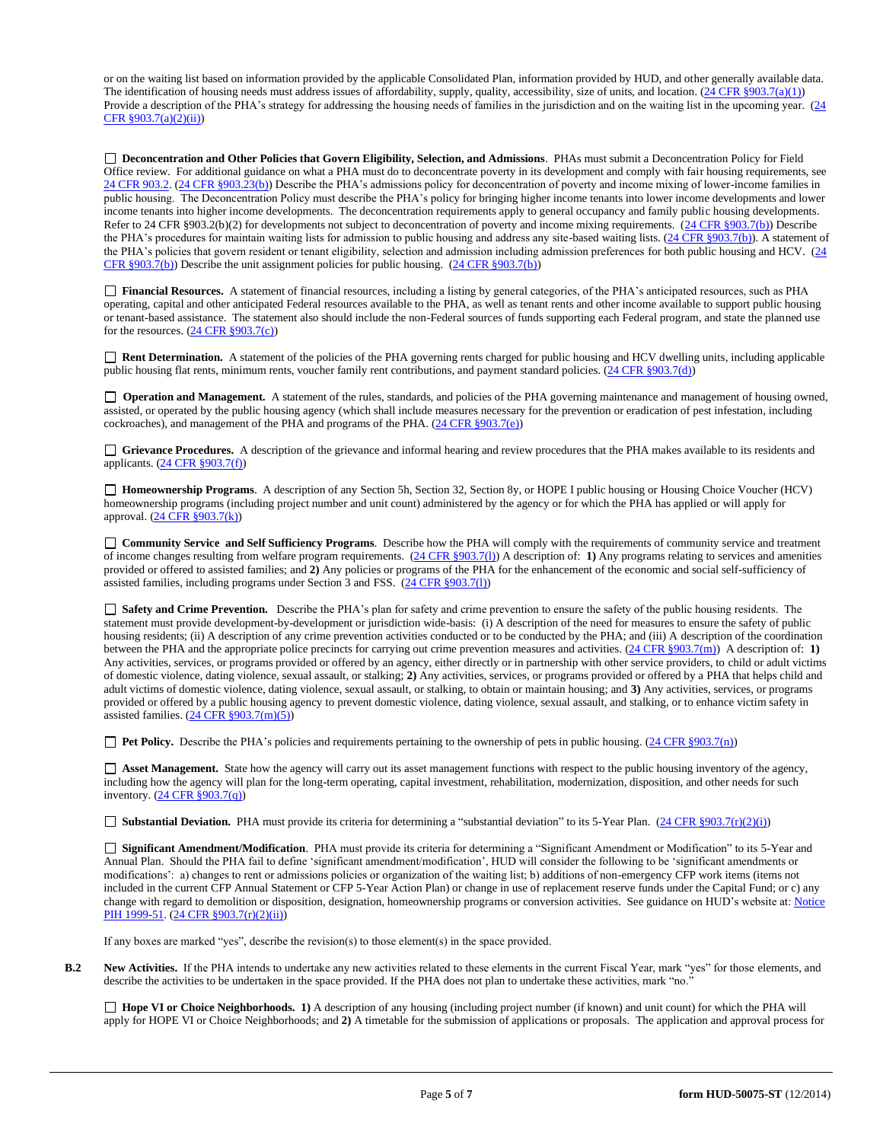or on the waiting list based on information provided by the applicable Consolidated Plan, information provided by HUD, and other generally available data. The identification of housing needs must address issues of affordability, supply, quality, accessibility, size of units, and location.  $(24 \text{ CFR } \text{\textless} 903.7(a)(1))$ Provide a description of the PHA's strategy for addressing the housing needs of families in the jurisdiction and on the waiting list in the upcoming year. (24) [CFR §903.7\(a\)\(2\)\(ii\)\)](http://ecfr.gpoaccess.gov/cgi/t/text/text-idx?c=ecfr&sid=13734845220744370804c20da2294a03&rgn=div5&view=text&node=24:4.0.3.1.3&idno=24#24:4.0.3.1.3.2.5.5)

 **Deconcentration and Other Policies that Govern Eligibility, Selection, and Admissions**. PHAs must submit a Deconcentration Policy for Field Office review. For additional guidance on what a PHA must do to deconcentrate poverty in its development and comply with fair housing requirements, see [24 CFR 903.2.](http://ecfr.gpoaccess.gov/cgi/t/text/text-idx?c=ecfr&sid=31b6a8e6f1110b36cc115eb6e4d5e3b4&rgn=div5&view=text&node=24:4.0.3.1.3&idno=24#24:4.0.3.1.3.1.5.2) [\(24 CFR §903.23\(b\)\)](http://ecfr.gpoaccess.gov/cgi/t/text/text-idx?c=ecfr&sid=13734845220744370804c20da2294a03&rgn=div5&view=text&node=24:4.0.3.1.3&idno=24#24:4.0.3.1.3.2.5.9) Describe the PHA's admissions policy for deconcentration of poverty and income mixing of lower-income families in public housing. The Deconcentration Policy must describe the PHA's policy for bringing higher income tenants into lower income developments and lower income tenants into higher income developments. The deconcentration requirements apply to general occupancy and family public housing developments. Refer to 24 CFR §903.2(b)(2) for developments not subject to deconcentration of poverty and income mixing requirements. [\(24 CFR §903.7\(b\)\)](http://ecfr.gpoaccess.gov/cgi/t/text/text-idx?c=ecfr&sid=b44bf19bef93dd31287608d2c687e271&rgn=div5&view=text&node=24:4.0.3.1.3&idno=24#24:4.0.3.1.3.2.5.5) Describe the PHA's procedures for maintain waiting lists for admission to public housing and address any site-based waiting lists. [\(24 CFR §903.7\(b\)\)](http://ecfr.gpoaccess.gov/cgi/t/text/text-idx?c=ecfr&sid=b44bf19bef93dd31287608d2c687e271&rgn=div5&view=text&node=24:4.0.3.1.3&idno=24#24:4.0.3.1.3.2.5.5). A statement of the PHA's policies that govern resident or tenant eligibility, selection and admission including admission preferences for both public housing and HCV. [\(24](http://ecfr.gpoaccess.gov/cgi/t/text/text-idx?c=ecfr&sid=b44bf19bef93dd31287608d2c687e271&rgn=div5&view=text&node=24:4.0.3.1.3&idno=24#24:4.0.3.1.3.2.5.5)  [CFR §903.7\(b\)\)](http://ecfr.gpoaccess.gov/cgi/t/text/text-idx?c=ecfr&sid=b44bf19bef93dd31287608d2c687e271&rgn=div5&view=text&node=24:4.0.3.1.3&idno=24#24:4.0.3.1.3.2.5.5) Describe the unit assignment policies for public housing. [\(24 CFR §903.7\(b\)\)](http://ecfr.gpoaccess.gov/cgi/t/text/text-idx?c=ecfr&sid=b44bf19bef93dd31287608d2c687e271&rgn=div5&view=text&node=24:4.0.3.1.3&idno=24#24:4.0.3.1.3.2.5.5)

 **Financial Resources.** A statement of financial resources, including a listing by general categories, of the PHA's anticipated resources, such as PHA operating, capital and other anticipated Federal resources available to the PHA, as well as tenant rents and other income available to support public housing or tenant-based assistance. The statement also should include the non-Federal sources of funds supporting each Federal program, and state the planned use for the resources.  $(24 \text{ CFR } \frac{8903.7(c)}{c})$ 

■ **Rent Determination.** A statement of the policies of the PHA governing rents charged for public housing and HCV dwelling units, including applicable public housing flat rents, minimum rents, voucher family rent contributions, and payment standard policies. [\(24 CFR §903.7\(d\)\)](http://ecfr.gpoaccess.gov/cgi/t/text/text-idx?c=ecfr&sid=b44bf19bef93dd31287608d2c687e271&rgn=div5&view=text&node=24:4.0.3.1.3&idno=24#24:4.0.3.1.3.2.5.5)

□ **Operation and Management.** A statement of the rules, standards, and policies of the PHA governing maintenance and management of housing owned, assisted, or operated by the public housing agency (which shall include measures necessary for the prevention or eradication of pest infestation, including cockroaches), and management of the PHA and programs of the PHA.  $(24 \text{ CFR } \text{\textless} 903.7\text{(e)})$ 

 **Grievance Procedures.** A description of the grievance and informal hearing and review procedures that the PHA makes available to its residents and applicants. [\(24 CFR §903.7\(f\)\)](http://ecfr.gpoaccess.gov/cgi/t/text/text-idx?c=ecfr&sid=b44bf19bef93dd31287608d2c687e271&rgn=div5&view=text&node=24:4.0.3.1.3&idno=24#24:4.0.3.1.3.2.5.5)

 **Homeownership Programs**. A description of any Section 5h, Section 32, Section 8y, or HOPE I public housing or Housing Choice Voucher (HCV) homeownership programs (including project number and unit count) administered by the agency or for which the PHA has applied or will apply for approval. [\(24 CFR §903.7\(k\)\)](http://ecfr.gpoaccess.gov/cgi/t/text/text-idx?c=ecfr&sid=b44bf19bef93dd31287608d2c687e271&rgn=div5&view=text&node=24:4.0.3.1.3&idno=24#24:4.0.3.1.3.2.5.5)

 **Community Service and Self Sufficiency Programs**. Describe how the PHA will comply with the requirements of community service and treatment of income changes resulting from welfare program requirements. [\(24 CFR §903.7\(l\)\)](http://ecfr.gpoaccess.gov/cgi/t/text/text-idx?c=ecfr&sid=13734845220744370804c20da2294a03&rgn=div5&view=text&node=24:4.0.3.1.3&idno=24#24:4.0.3.1.3.2.5.5) A description of: **1)** Any programs relating to services and amenities provided or offered to assisted families; and **2)** Any policies or programs of the PHA for the enhancement of the economic and social self-sufficiency of assisted families, including programs under Section 3 and FSS. [\(24 CFR §903.7\(l\)\)](http://ecfr.gpoaccess.gov/cgi/t/text/text-idx?c=ecfr&sid=b44bf19bef93dd31287608d2c687e271&rgn=div5&view=text&node=24:4.0.3.1.3&idno=24#24:4.0.3.1.3.2.5.5)

 **Safety and Crime Prevention.** Describe the PHA's plan for safety and crime prevention to ensure the safety of the public housing residents. The statement must provide development-by-development or jurisdiction wide-basis: (i) A description of the need for measures to ensure the safety of public housing residents; (ii) A description of any crime prevention activities conducted or to be conducted by the PHA; and (iii) A description of the coordination between the PHA and the appropriate police precincts for carrying out crime prevention measures and activities. [\(24 CFR §903.7\(m\)\)](http://ecfr.gpoaccess.gov/cgi/t/text/text-idx?c=ecfr&sid=13734845220744370804c20da2294a03&rgn=div5&view=text&node=24:4.0.3.1.3&idno=24#24:4.0.3.1.3.2.5.5) A description of: **1)** Any activities, services, or programs provided or offered by an agency, either directly or in partnership with other service providers, to child or adult victims of domestic violence, dating violence, sexual assault, or stalking; **2)** Any activities, services, or programs provided or offered by a PHA that helps child and adult victims of domestic violence, dating violence, sexual assault, or stalking, to obtain or maintain housing; and **3)** Any activities, services, or programs provided or offered by a public housing agency to prevent domestic violence, dating violence, sexual assault, and stalking, or to enhance victim safety in assisted families.  $(24 \text{ CFR } \frac{8903.7 \text{(m)}(5)}{24 \text{ CFR } \frac{8903.7 \text{(m)}(5)}{24 \text{ CFR } \frac{8903.7 \text{(m)}(5)}{24 \text{ CFR } \frac{8903.7 \text{(m)}(5)}{24 \text{ CFR } \frac{8903.7 \text{(m)}(5)}{24 \text{ CFR } \frac{8903.7 \text{(m)}(5)}{24 \text{ CFR } \frac{8903.7 \text{(m)}(5)}{24 \text{ CFR } \frac{8903.7 \$ 

**Pet Policy.** Describe the PHA's policies and requirements pertaining to the ownership of pets in public housing. [\(24 CFR §903.7\(n\)\)](http://ecfr.gpoaccess.gov/cgi/t/text/text-idx?c=ecfr&sid=13734845220744370804c20da2294a03&rgn=div5&view=text&node=24:4.0.3.1.3&idno=24#24:4.0.3.1.3.2.5.5)

 **Asset Management.** State how the agency will carry out its asset management functions with respect to the public housing inventory of the agency, including how the agency will plan for the long-term operating, capital investment, rehabilitation, modernization, disposition, and other needs for such inventory. [\(24 CFR §903.7\(q\)\)](http://ecfr.gpoaccess.gov/cgi/t/text/text-idx?c=ecfr&sid=13734845220744370804c20da2294a03&rgn=div5&view=text&node=24:4.0.3.1.3&idno=24#24:4.0.3.1.3.2.5.5)

■ **Substantial Deviation.** PHA must provide its criteria for determining a "substantial deviation" to its 5-Year Plan. [\(24 CFR §903.7\(r\)\(2\)\(i\)\)](http://ecfr.gpoaccess.gov/cgi/t/text/text-idx?c=ecfr&sid=13734845220744370804c20da2294a03&rgn=div5&view=text&node=24:4.0.3.1.3&idno=24#24:4.0.3.1.3.2.5.5)

 **Significant Amendment/Modification**. PHA must provide its criteria for determining a "Significant Amendment or Modification" to its 5-Year and Annual Plan. Should the PHA fail to define 'significant amendment/modification', HUD will consider the following to be 'significant amendments or modifications': a) changes to rent or admissions policies or organization of the waiting list; b) additions of non-emergency CFP work items (items not included in the current CFP Annual Statement or CFP 5-Year Action Plan) or change in use of replacement reserve funds under the Capital Fund; or c) any change with regard to demolition or disposition, designation, homeownership programs or conversion activities. See guidance on HUD's website at: Notice [PIH 1999-51.](http://portal.hud.gov/hudportal/HUD?src=/program_offices/administration/hudclips/notices/pih) [\(24 CFR §903.7\(r\)\(2\)\(ii\)\)](http://ecfr.gpoaccess.gov/cgi/t/text/text-idx?c=ecfr&sid=13734845220744370804c20da2294a03&rgn=div5&view=text&node=24:4.0.3.1.3&idno=24#24:4.0.3.1.3.2.5.5)

If any boxes are marked "yes", describe the revision(s) to those element(s) in the space provided.

**B.2 New Activities.** If the PHA intends to undertake any new activities related to these elements in the current Fiscal Year, mark "yes" for those elements, and describe the activities to be undertaken in the space provided. If the PHA does not plan to undertake these activities, mark "no."

 **Hope VI or Choice Neighborhoods. 1)** A description of any housing (including project number (if known) and unit count) for which the PHA will apply for HOPE VI or Choice Neighborhoods; and **2)** A timetable for the submission of applications or proposals. The application and approval process for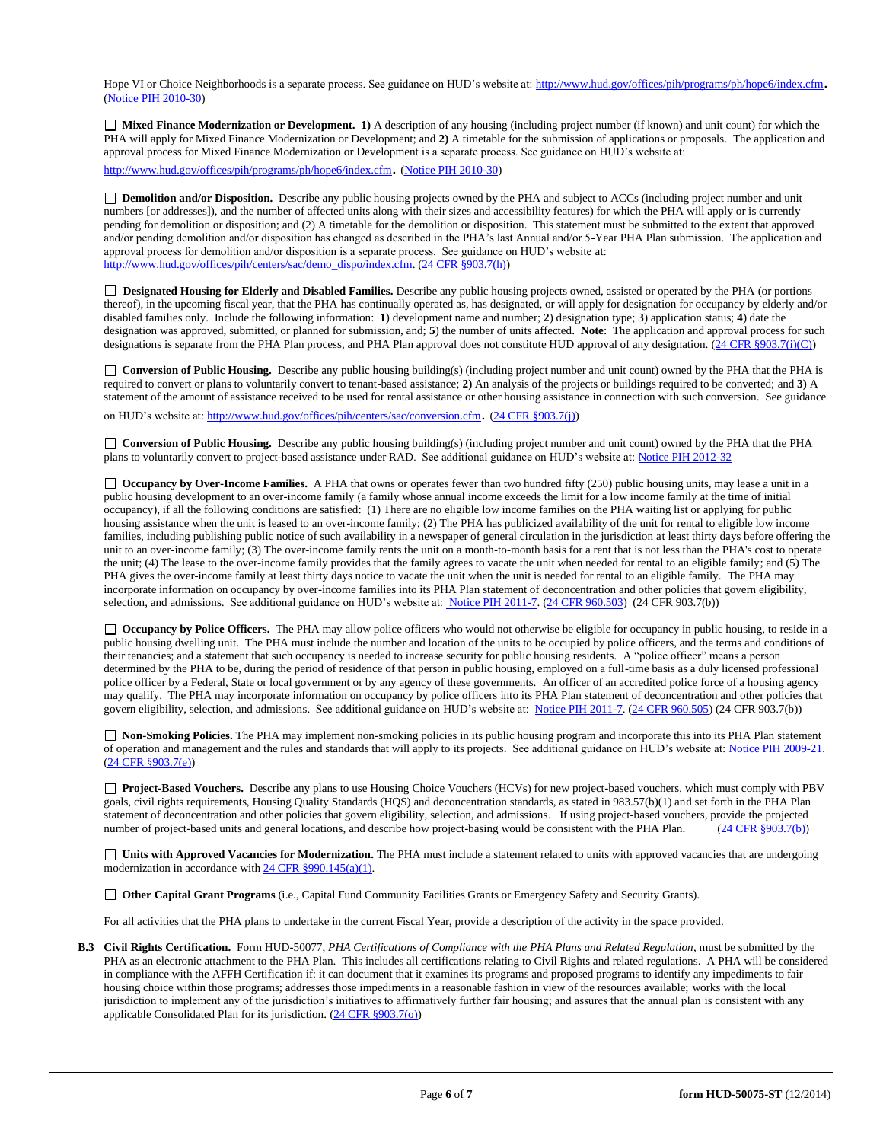Hope VI or Choice Neighborhoods is a separate process. See guidance on HUD's website at[: http://www.hud.gov/offices/pih/programs/ph/hope6/index.cfm](http://www.hud.gov/offices/pih/programs/ph/hope6/index.cfm). [\(Notice PIH 2010-30\)](http://www.hud.gov/offices/adm/hudclips/notices/pih/07pihnotices.cfm)

 **Mixed Finance Modernization or Development. 1)** A description of any housing (including project number (if known) and unit count) for which the PHA will apply for Mixed Finance Modernization or Development; and **2)** A timetable for the submission of applications or proposals. The application and approval process for Mixed Finance Modernization or Development is a separate process. See guidance on HUD's website at:

<http://www.hud.gov/offices/pih/programs/ph/hope6/index.cfm>. [\(Notice PIH 2010-30\)](http://www.hud.gov/offices/adm/hudclips/notices/pih/07pihnotices.cfm)

 **Demolition and/or Disposition.** Describe any public housing projects owned by the PHA and subject to ACCs (including project number and unit numbers [or addresses]), and the number of affected units along with their sizes and accessibility features) for which the PHA will apply or is currently pending for demolition or disposition; and (2) A timetable for the demolition or disposition. This statement must be submitted to the extent that approved and/or pending demolition and/or disposition has changed as described in the PHA's last Annual and/or 5-Year PHA Plan submission. The application and approval process for demolition and/or disposition is a separate process. See guidance on HUD's website at: [http://www.hud.gov/offices/pih/centers/sac/demo\\_dispo/index.cfm.](http://www.hud.gov/offices/pih/centers/sac/demo_dispo/index.cfm) [\(24 CFR §903.7\(h\)\)](http://ecfr.gpoaccess.gov/cgi/t/text/text-idx?c=ecfr&sid=13734845220744370804c20da2294a03&rgn=div5&view=text&node=24:4.0.3.1.3&idno=24#24:4.0.3.1.3.2.5.5)

**Designated Housing for Elderly and Disabled Families.** Describe any public housing projects owned, assisted or operated by the PHA (or portions thereof), in the upcoming fiscal year, that the PHA has continually operated as, has designated, or will apply for designation for occupancy by elderly and/or disabled families only. Include the following information: **1**) development name and number; **2**) designation type; **3**) application status; **4**) date the designation was approved, submitted, or planned for submission, and; **5**) the number of units affected. **Note**: The application and approval process for such designations is separate from the PHA Plan process, and PHA Plan approval does not constitute HUD approval of any designation.  $(24 \text{ CFR } \text{S}903.7(i)(C))$ 

□ **Conversion of Public Housing.** Describe any public housing building(s) (including project number and unit count) owned by the PHA that the PHA is required to convert or plans to voluntarily convert to tenant-based assistance; **2)** An analysis of the projects or buildings required to be converted; and **3)** A statement of the amount of assistance received to be used for rental assistance or other housing assistance in connection with such conversion. See guidance on HUD's website at[: http://www.hud.gov/offices/pih/centers/sac/conversion.cfm](http://www.hud.gov/offices/pih/centers/sac/conversion.cfm). [\(24 CFR §903.7\(j\)\)](http://ecfr.gpoaccess.gov/cgi/t/text/text-idx?c=ecfr&sid=13734845220744370804c20da2294a03&rgn=div5&view=text&node=24:4.0.3.1.3&idno=24#24:4.0.3.1.3.2.5.5)

**Conversion of Public Housing.** Describe any public housing building(s) (including project number and unit count) owned by the PHA that the PHA plans to voluntarily convert to project-based assistance under RAD. See additional guidance on HUD's website at: [Notice PIH 2012-32](http://portal.hud.gov/hudportal/HUD?src=/program_offices/administration/hudclips/notices/pih/12pihnotices)

□ **Occupancy by Over-Income Families.** A PHA that owns or operates fewer than two hundred fifty (250) public housing units, may lease a unit in a public housing development to an over-income family (a family whose annual income exceeds the limit for a low income family at the time of initial occupancy), if all the following conditions are satisfied: (1) There are no eligible low income families on the PHA waiting list or applying for public housing assistance when the unit is leased to an over-income family; (2) The PHA has publicized availability of the unit for rental to eligible low income families, including publishing public notice of such availability in a newspaper of general circulation in the jurisdiction at least thirty days before offering the unit to an over-income family; (3) The over-income family rents the unit on a month-to-month basis for a rent that is not less than the PHA's cost to operate the unit; (4) The lease to the over-income family provides that the family agrees to vacate the unit when needed for rental to an eligible family; and (5) The PHA gives the over-income family at least thirty days notice to vacate the unit when the unit is needed for rental to an eligible family. The PHA may incorporate information on occupancy by over-income families into its PHA Plan statement of deconcentration and other policies that govern eligibility, selection, and admissions. See additional guidance on HUD's website at[: Notice PIH 2011-7.](http://portal.hud.gov/hudportal/HUD?src=/program_offices/administration/hudclips/notices/pih) [\(24 CFR 960.503\)](http://ecfr.gpoaccess.gov/cgi/t/text/text-idx?c=ecfr&sid=fa64c7c83a160f7c42da881396459a31&rgn=div5&view=text&node=24:4.0.3.1.13&idno=24#24:4.0.3.1.13.5.5.1) (24 CFR 903.7(b))

□ **Occupancy by Police Officers.** The PHA may allow police officers who would not otherwise be eligible for occupancy in public housing, to reside in a public housing dwelling unit. The PHA must include the number and location of the units to be occupied by police officers, and the terms and conditions of their tenancies; and a statement that such occupancy is needed to increase security for public housing residents. A "police officer" means a person determined by the PHA to be, during the period of residence of that person in public housing, employed on a full-time basis as a duly licensed professional police officer by a Federal, State or local government or by any agency of these governments. An officer of an accredited police force of a housing agency may qualify. The PHA may incorporate information on occupancy by police officers into its PHA Plan statement of deconcentration and other policies that govern eligibility, selection, and admissions. See additional guidance on HUD's website at: [Notice PIH 2011-7.](http://portal.hud.gov/hudportal/HUD?src=/program_offices/administration/hudclips/notices/pih) [\(24 CFR 960.505\)](http://ecfr.gpoaccess.gov/cgi/t/text/text-idx?c=ecfr&sid=fa64c7c83a160f7c42da881396459a31&rgn=div5&view=text&node=24:4.0.3.1.13&idno=24#24:4.0.3.1.13.5.5.2) (24 CFR 903.7(b))

 **Non-Smoking Policies.** The PHA may implement non-smoking policies in its public housing program and incorporate this into its PHA Plan statement of operation and management and the rules and standards that will apply to its projects. See additional guidance on HUD's website at[: Notice PIH 2009-21.](http://portal.hud.gov/hudportal/HUD?src=/program_offices/administration/hudclips/notices/pih/09pihnotices) [\(24 CFR §903.7\(e\)\)](http://ecfr.gpoaccess.gov/cgi/t/text/text-idx?c=ecfr&sid=b44bf19bef93dd31287608d2c687e271&rgn=div5&view=text&node=24:4.0.3.1.3&idno=24#24:4.0.3.1.3.2.5.5)

**Project-Based Vouchers.** Describe any plans to use Housing Choice Vouchers (HCVs) for new project-based vouchers, which must comply with PBV goals, civil rights requirements, Housing Quality Standards (HQS) and deconcentration standards, as stated in 983.57(b)(1) and set forth in the PHA Plan statement of deconcentration and other policies that govern eligibility, selection, and admissions. If using project-based vouchers, provide the projected number of project-based units and general locations, and describe how project-basing would be consistent with the PHA Plan. [\(24 CFR §903.7\(b\)\)](http://ecfr.gpoaccess.gov/cgi/t/text/text-idx?c=ecfr&sid=b44bf19bef93dd31287608d2c687e271&rgn=div5&view=text&node=24:4.0.3.1.3&idno=24#24:4.0.3.1.3.2.5.5)

 **Units with Approved Vacancies for Modernization.** The PHA must include a statement related to units with approved vacancies that are undergoing modernization in accordance wit[h 24 CFR §990.145\(a\)\(1\).](http://www.ecfr.gov/cgi-bin/retrieveECFR?gp=1&SID=861f819542172e8e9912b8c1348ee120&ty=HTML&h=L&n=24y4.0.3.1.23&r=PART)

**Other Capital Grant Programs** (i.e., Capital Fund Community Facilities Grants or Emergency Safety and Security Grants).

For all activities that the PHA plans to undertake in the current Fiscal Year, provide a description of the activity in the space provided.

**B.3 Civil Rights Certification.** Form HUD-50077, *PHA Certifications of Compliance with the PHA Plans and Related Regulation*, must be submitted by the PHA as an electronic attachment to the PHA Plan. This includes all certifications relating to Civil Rights and related regulations. A PHA will be considered in compliance with the AFFH Certification if: it can document that it examines its programs and proposed programs to identify any impediments to fair housing choice within those programs; addresses those impediments in a reasonable fashion in view of the resources available; works with the local jurisdiction to implement any of the jurisdiction's initiatives to affirmatively further fair housing; and assures that the annual plan is consistent with any applicable Consolidated Plan for its jurisdiction. [\(24 CFR §903.7\(o\)\)](http://ecfr.gpoaccess.gov/cgi/t/text/text-idx?c=ecfr&sid=13734845220744370804c20da2294a03&rgn=div5&view=text&node=24:4.0.3.1.3&idno=24#24:4.0.3.1.3.2.5.5)